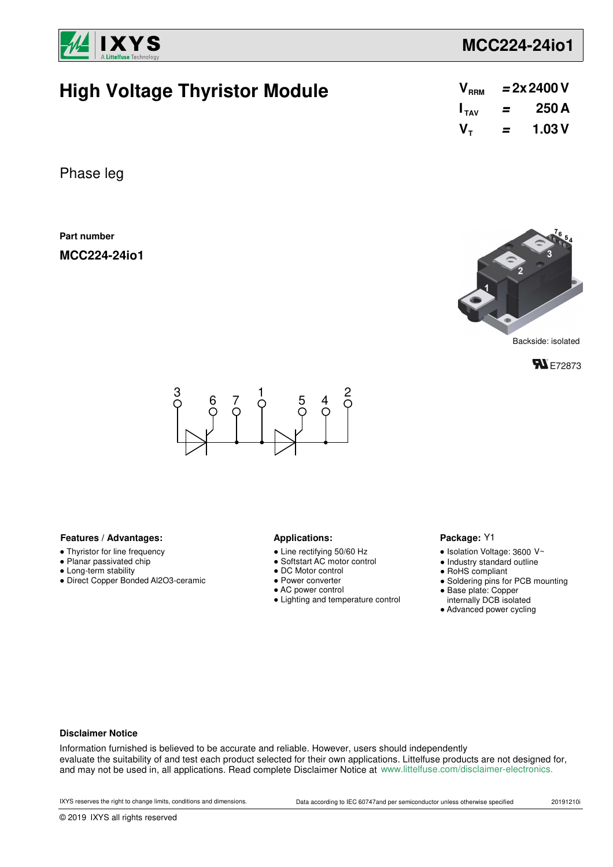

# **MCC224-24io1**

# **High Voltage Thyristor Module**

| $\mathsf{V}_{\scriptscriptstyle{\mathsf{RRM}}}$ |   | $= 2x 2400 V$ |
|-------------------------------------------------|---|---------------|
| $I_{\mathsf{TAV}}$                              | = | 250 A         |
| V <sub>τ</sub>                                  | = | 1.03 V        |

Phase leg

**Part number**

**MCC224-24io1**



Backside: isolated





### Features / Advantages: **All Applications: Applications:**

- Thyristor for line frequency
- Planar passivated chip
- Long-term stability
- Direct Copper Bonded Al2O3-ceramic

- Line rectifying 50/60 Hz
- Softstart AC motor control
- DC Motor control
- Power converter
- AC power control
- Lighting and temperature control

### Package: Y1

- $\bullet$  Isolation Voltage: 3600 V~
- Industry standard outline
- RoHS compliant
- Soldering pins for PCB mounting
- Base plate: Copper
- internally DCB isolated
- Advanced power cycling

#### **Disclaimer Notice**

Information furnished is believed to be accurate and reliable. However, users should independently evaluate the suitability of and test each product selected for their own applications. Littelfuse products are not designed for, and may not be used in, all applications. Read complete Disclaimer Notice at www.littelfuse.com/disclaimer-electronics.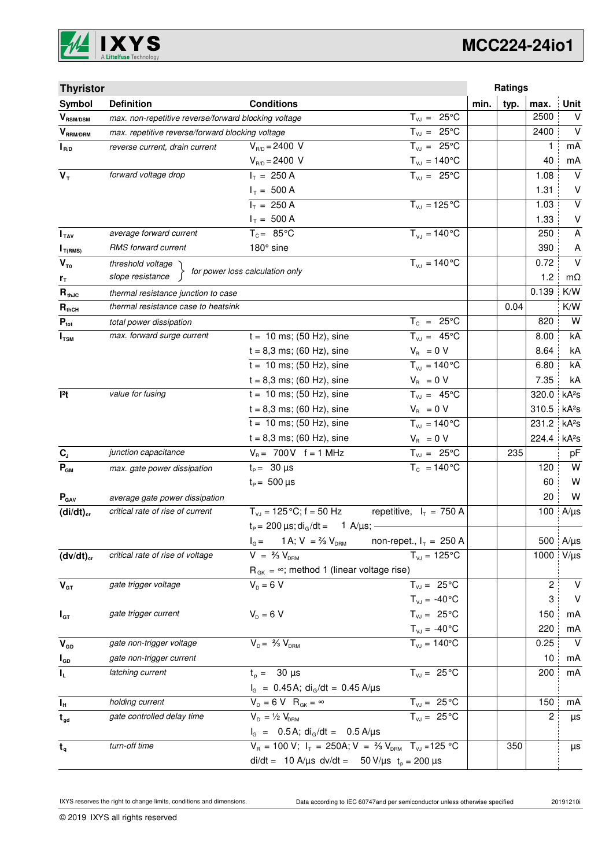

# **MCC224-24io1**

| <b>Thyristor</b>              |                                                      |                                                                                   |                                |      | Ratings |       |                   |
|-------------------------------|------------------------------------------------------|-----------------------------------------------------------------------------------|--------------------------------|------|---------|-------|-------------------|
| Symbol                        | <b>Definition</b>                                    | <b>Conditions</b>                                                                 |                                | min. | typ.    | max.  | <b>Unit</b>       |
| $\mathbf{V}_{\text{RSM/DSM}}$ | max. non-repetitive reverse/forward blocking voltage |                                                                                   | $T_{VJ} = 25^{\circ}C$         |      |         | 2500  | V                 |
| $V_{\tiny\text{RRM/DRM}}$     | max. repetitive reverse/forward blocking voltage     |                                                                                   | $T_{VJ} = 25^{\circ}C$         |      |         | 2400  | $\vee$            |
| $I_{R/D}$                     | reverse current, drain current                       | $V_{B/D} = 2400 V$                                                                | $T_{VJ} = 25^{\circ}C$         |      |         | 1     | mA                |
|                               |                                                      | $V_{R/D} = 2400 V$                                                                | $T_{\nu J} = 140^{\circ}C$     |      |         | 40    | mA                |
| $V_T$                         | forward voltage drop                                 | $I_T = 250 A$                                                                     | $T_{V,1} = 25^{\circ}C$        |      |         | 1.08  | $\vee$            |
|                               |                                                      | $I_T = 500 A$                                                                     |                                |      |         | 1.31  | $\vee$            |
|                               |                                                      | $I_T = 250 A$                                                                     | $T_{VJ} = 125$ °C              |      |         | 1.03  | $\vee$            |
|                               |                                                      | $I_T = 500 A$                                                                     |                                |      |         | 1.33  | V                 |
| I <sub>TAV</sub>              | average forward current                              | $T_c = 85^{\circ}$ C                                                              | $T_{V1} = 140^{\circ}C$        |      |         | 250   | A                 |
| $I_{T(RMS)}$                  | RMS forward current                                  | 180° sine                                                                         |                                |      |         | 390   | A                 |
| $V_{\tau_0}$                  | threshold voltage                                    | for power loss calculation only                                                   | $T_{V,I} = 140^{\circ}C$       |      |         | 0.72  | $\vee$            |
| r <sub>T</sub>                | slope resistance                                     |                                                                                   |                                |      |         | 1.2   | $m\Omega$         |
| $R_{thJC}$                    | thermal resistance junction to case                  |                                                                                   |                                |      |         | 0.139 | K/W               |
| $\mathbf{R}_{\text{thCH}}$    | thermal resistance case to heatsink                  |                                                                                   |                                |      | 0.04    |       | K/W               |
| $P_{\text{tot}}$              | total power dissipation                              |                                                                                   | $T_c = 25^{\circ}C$            |      |         | 820   | W                 |
| $I_{TSM}$                     | max. forward surge current                           | $t = 10$ ms; (50 Hz), sine                                                        | $T_{VJ} = 45^{\circ}C$         |      |         | 8.00  | kA                |
|                               |                                                      | $t = 8,3$ ms; (60 Hz), sine                                                       | $V_{\rm R} = 0 V$              |      |         | 8.64  | kA                |
|                               |                                                      | $t = 10$ ms; (50 Hz), sine                                                        | $T_{V,1} = 140^{\circ}C$       |      |         | 6.80  | kA                |
|                               |                                                      | $t = 8,3$ ms; (60 Hz), sine                                                       | $V_{\rm B} = 0 V$              |      |         | 7.35  | kA                |
| $ ^{2}t$                      | value for fusing                                     | $t = 10$ ms; (50 Hz), sine                                                        | $T_{VJ} = 45^{\circ}C$         |      |         | 320.0 | kA <sup>2</sup> S |
|                               |                                                      | $t = 8,3$ ms; (60 Hz), sine                                                       | $V_{\rm R} = 0 V$              |      |         | 310.5 | kA <sup>2</sup> s |
|                               |                                                      | $t = 10$ ms; (50 Hz), sine                                                        | $T_{VJ} = 140^{\circ}C$        |      |         | 231.2 | kA <sup>2</sup> s |
|                               |                                                      | $t = 8,3$ ms; (60 Hz), sine                                                       | $V_{\rm R} = 0 V$              |      |         | 224.4 | kA <sup>2</sup> S |
| $C_{J}$                       | junction capacitance                                 | $V_B = 700V$ f = 1 MHz                                                            | $T_{VJ} = 25^{\circ}C$         |      | 235     |       | pF                |
| $P_{GM}$                      | max. gate power dissipation                          | $t_{p} = 30 \,\mu s$                                                              | $T_c = 140^{\circ}$ C          |      |         | 120   | W                 |
|                               |                                                      | $t_{\rm p} = 500 \,\mu s$                                                         |                                |      |         | 60    | W                 |
| $P_{\text{GAV}}$              | average gate power dissipation                       |                                                                                   |                                |      |         | 20    | W                 |
| $(di/dt)_{cr}$                | critical rate of rise of current                     | $T_{VJ}$ = 125 °C; f = 50 Hz                                                      | repetitive, $I_T = 750$ A      |      |         | 100   | $A/\mu s$         |
|                               |                                                      | $t_P = 200 \,\mu s$ ; di <sub>g</sub> /dt = 1 A/ $\mu s$ ; -                      |                                |      |         |       |                   |
|                               |                                                      | 1 A; $V = \frac{2}{3} V_{DRM}$<br>$I_G =$                                         | non-repet., $I_T = 250$ A      |      |         |       | 500 A/µs          |
| $(dv/dt)_{cr}$                | critical rate of rise of voltage                     | $V = \frac{2}{3} V_{DBM}$                                                         | $T_{VJ} = 125^{\circ}C$        |      |         | 1000  | $V/\mu s$         |
|                               |                                                      | $R_{GK} = \infty$ ; method 1 (linear voltage rise)                                |                                |      |         |       |                   |
| $V_{GT}$                      | gate trigger voltage                                 | $V_{D} = 6 V$                                                                     | $T_{VJ} = 25^{\circ}C$         |      |         | 2     | V                 |
|                               |                                                      |                                                                                   | $T_{VJ} = -40^{\circ}C$        |      |         | 3     | $\vee$            |
| $I_{GT}$                      | gate trigger current                                 | $V_{D} = 6 V$                                                                     | $T_{VJ} = 25^{\circ}C$         |      |         | 150   | mA                |
|                               |                                                      |                                                                                   | $T_{\text{VJ}} = -40^{\circ}C$ |      |         | 220   | mA                |
| $V_{GD}$                      | gate non-trigger voltage                             | $V_{D} = \frac{2}{3} V_{DBM}$                                                     | $T_{VJ} = 140^{\circ}$ C       |      |         | 0.25  | $\vee$            |
| $I_{GD}$                      | gate non-trigger current                             |                                                                                   |                                |      |         | 10    | mA                |
| IL.                           | latching current                                     | $t_p = 30 \text{ }\mu\text{s}$                                                    | $T_{VJ} = 25^{\circ}C$         |      |         | 200   | mA                |
|                               |                                                      | $I_G = 0.45 A$ ; di <sub>G</sub> /dt = 0.45 A/µs                                  |                                |      |         |       |                   |
| $I_H$                         | holding current                                      | $V_{D} = 6 V R_{GK} = \infty$                                                     | $T_{VJ} = 25\overline{C}$      |      |         | 150   | mA                |
| $t_{gd}$                      | gate controlled delay time                           | $V_{D} = \frac{1}{2} V_{DRM}$                                                     | $\overline{T_{VJ}}$ = 25 °C    |      |         | 2     | μs                |
|                               |                                                      | $I_G = 0.5A$ ; di <sub>G</sub> /dt = 0.5 A/µs                                     |                                |      |         |       |                   |
| $t_q$                         | turn-off time                                        | $V_R = 100 V$ ; $I_T = 250A$ ; $V = \frac{2}{3} V_{DRM}$ T <sub>VJ</sub> = 125 °C |                                |      | 350     |       | μs                |
|                               |                                                      | di/dt = 10 A/µs dv/dt = 50 V/µs $t_0 = 200 \mu s$                                 |                                |      |         |       |                   |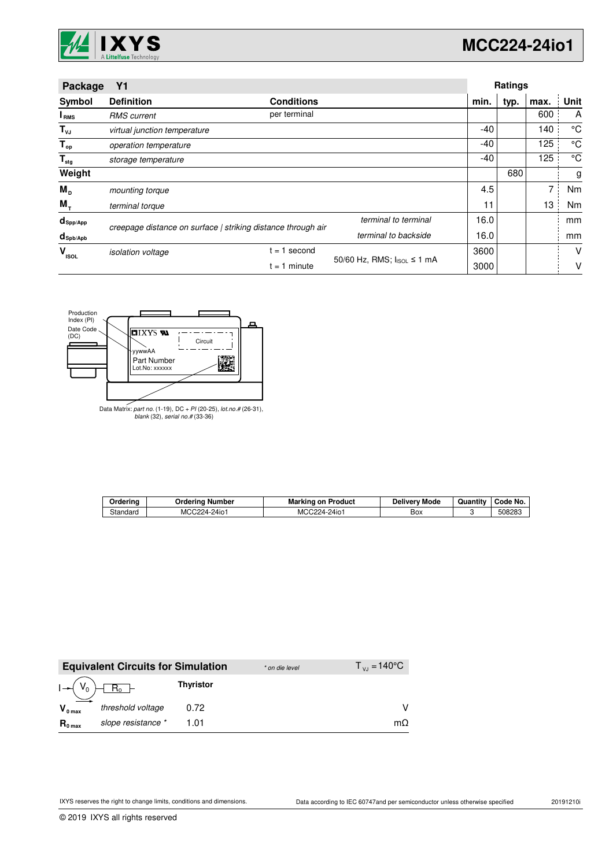

| Package                | Y1                                                           |                   |                            |      | <b>Ratings</b> |      |      |
|------------------------|--------------------------------------------------------------|-------------------|----------------------------|------|----------------|------|------|
| Symbol                 | <b>Definition</b>                                            | <b>Conditions</b> |                            | min. | typ.           | max. | Unit |
| I <sub>RMS</sub>       | <b>RMS</b> current                                           | per terminal      |                            |      |                | 600  | A    |
| $T_{\nu J}$            | virtual junction temperature                                 |                   |                            | -40  |                | 140  | °C   |
| $T_{op}$               | operation temperature                                        |                   |                            | -40  |                | 125  | °C   |
| $T_{\text{stg}}$       | storage temperature                                          |                   |                            | -40  |                | 125  | °C   |
| Weight                 |                                                              |                   |                            |      | 680            |      | g    |
| $M_{\rm p}$            | mounting torque                                              |                   |                            | 4.5  |                | 7    | Nm   |
| $M_{+}$                | terminal torque                                              |                   |                            | 11   |                | 13   | Nm   |
| $d_{\mathsf{Spp/App}}$ | creepage distance on surface   striking distance through air |                   | terminal to terminal       | 16.0 |                |      | mm   |
| $d_{\text{sph/Apb}}$   |                                                              |                   | terminal to backside       | 16.0 |                |      | mm   |
| v<br><b>ISOL</b>       | <i>isolation</i> voltage                                     | second<br>$= 1$   |                            | 3600 |                |      | V    |
|                        |                                                              | $= 1$ minute      | 50/60 Hz, RMS; IsoL ≤ 1 mA | 3000 |                |      | v    |



Data Matrix: part no. (1-19), DC + PI (20-25), lot.no.# (26-31), blank (32), serial no.# (33-36)

| Orderina | Ordering Number | <b>Marking on Product</b> | <b>Delivery Mode</b> | Quantity | Code No. |
|----------|-----------------|---------------------------|----------------------|----------|----------|
| Standard | MCC224-24io1    | MCC224-24io1              | Box                  |          | 508283   |

|                     | <b>Equivalent Circuits for Simulation</b> |                  | * on die level | $T_{V_1} = 140^{\circ}$ C |
|---------------------|-------------------------------------------|------------------|----------------|---------------------------|
| $I - (V_0)$         | $R_0$ -                                   | <b>Thyristor</b> |                |                           |
| $V_{0 \text{ max}}$ | threshold voltage                         | 0.72             |                |                           |
| $R_{0 \text{ max}}$ | slope resistance *                        | 1 01             |                | mΩ                        |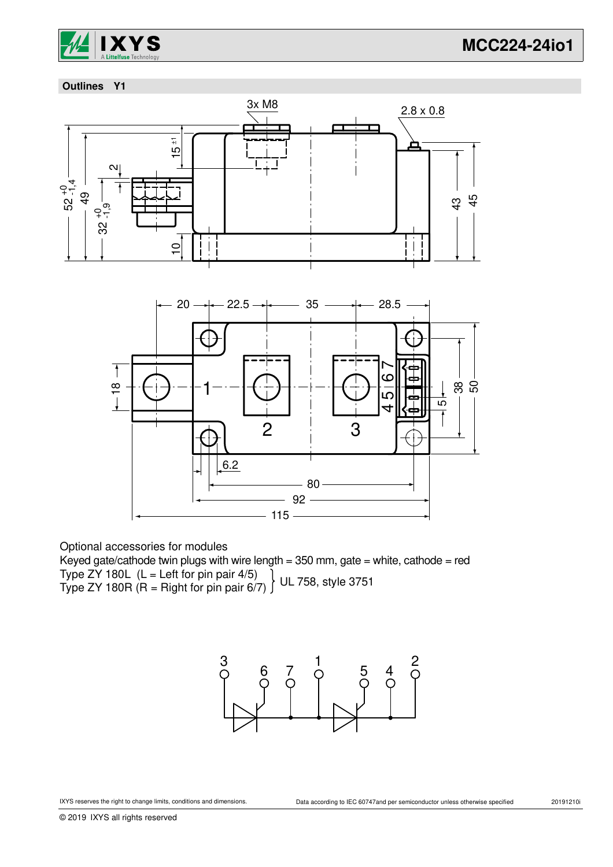

## **Outlines Y1**



Optional accessories for modules

Keyed gate/cathode twin plugs with wire length =  $350$  mm, gate = white, cathode = red Type ZY 180L  $(L = Left for pin pair 4/5)$ Type ZY 180R (R = Right for pin pair 6/7) UL 758, style 3751

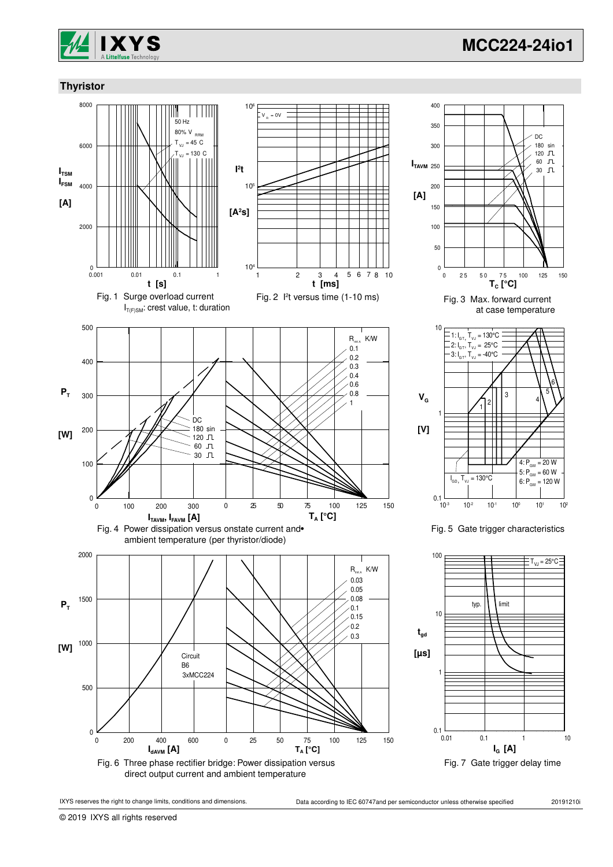

## **Thyristor**







Fig. 5 Gate trigger characteristics